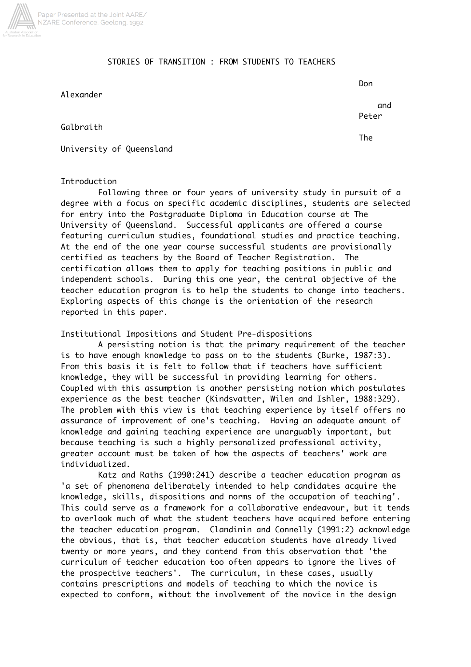

## STORIES OF TRANSITION : FROM STUDENTS TO TEACHERS

Alexander

Don

The

 and Peter

Galbraith

University of Queensland

## Introduction

Following three or four years of university study in pursuit of a degree with a focus on specific academic disciplines, students are selected for entry into the Postgraduate Diploma in Education course at The University of Queensland. Successful applicants are offered a course featuring curriculum studies, foundational studies and practice teaching. At the end of the one year course successful students are provisionally certified as teachers by the Board of Teacher Registration. The certification allows them to apply for teaching positions in public and independent schools. During this one year, the central objective of the teacher education program is to help the students to change into teachers. Exploring aspects of this change is the orientation of the research reported in this paper.

Institutional Impositions and Student Pre-dispositions

A persisting notion is that the primary requirement of the teacher is to have enough knowledge to pass on to the students (Burke, 1987:3). From this basis it is felt to follow that if teachers have sufficient knowledge, they will be successful in providing learning for others. Coupled with this assumption is another persisting notion which postulates experience as the best teacher (Kindsvatter, Wilen and Ishler, 1988:329). The problem with this view is that teaching experience by itself offers no assurance of improvement of one's teaching. Having an adequate amount of knowledge and gaining teaching experience are unarguably important, but because teaching is such a highly personalized professional activity, greater account must be taken of how the aspects of teachers' work are individualized.

Katz and Raths (1990:241) describe a teacher education program as 'a set of phenomena deliberately intended to help candidates acquire the knowledge, skills, dispositions and norms of the occupation of teaching'. This could serve as a framework for a collaborative endeavour, but it tends to overlook much of what the student teachers have acquired before entering the teacher education program. Clandinin and Connelly (1991:2) acknowledge the obvious, that is, that teacher education students have already lived twenty or more years, and they contend from this observation that 'the curriculum of teacher education too often appears to ignore the lives of the prospective teachers'. The curriculum, in these cases, usually contains prescriptions and models of teaching to which the novice is expected to conform, without the involvement of the novice in the design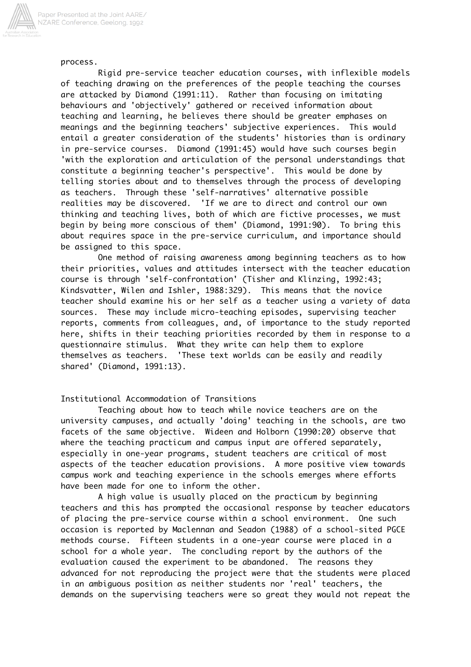

process.

Rigid pre-service teacher education courses, with inflexible models of teaching drawing on the preferences of the people teaching the courses are attacked by Diamond (1991:11). Rather than focusing on imitating behaviours and 'objectively' gathered or received information about teaching and learning, he believes there should be greater emphases on meanings and the beginning teachers' subjective experiences. This would entail a greater consideration of the students' histories than is ordinary in pre-service courses. Diamond (1991:45) would have such courses begin 'with the exploration and articulation of the personal understandings that constitute a beginning teacher's perspective'. This would be done by telling stories about and to themselves through the process of developing as teachers. Through these 'self-narratives' alternative possible realities may be discovered. 'If we are to direct and control our own thinking and teaching lives, both of which are fictive processes, we must begin by being more conscious of them' (Diamond, 1991:90). To bring this about requires space in the pre-service curriculum, and importance should be assigned to this space.

One method of raising awareness among beginning teachers as to how their priorities, values and attitudes intersect with the teacher education course is through 'self-confrontation' (Tisher and Klinzing, 1992:43; Kindsvatter, Wilen and Ishler, 1988:329). This means that the novice teacher should examine his or her self as a teacher using a variety of data sources. These may include micro-teaching episodes, supervising teacher reports, comments from colleagues, and, of importance to the study reported here, shifts in their teaching priorities recorded by them in response to a questionnaire stimulus. What they write can help them to explore themselves as teachers. 'These text worlds can be easily and readily shared' (Diamond, 1991:13).

# Institutional Accommodation of Transitions

Teaching about how to teach while novice teachers are on the university campuses, and actually 'doing' teaching in the schools, are two facets of the same objective. Wideen and Holborn (1990:20) observe that where the teaching practicum and campus input are offered separately, especially in one-year programs, student teachers are critical of most aspects of the teacher education provisions. A more positive view towards campus work and teaching experience in the schools emerges where efforts have been made for one to inform the other.

A high value is usually placed on the practicum by beginning teachers and this has prompted the occasional response by teacher educators of placing the pre-service course within a school environment. One such occasion is reported by Maclennan and Seadon (1988) of a school-sited PGCE methods course. Fifteen students in a one-year course were placed in a school for a whole year. The concluding report by the authors of the evaluation caused the experiment to be abandoned. The reasons they advanced for not reproducing the project were that the students were placed in an ambiguous position as neither students nor 'real' teachers, the demands on the supervising teachers were so great they would not repeat the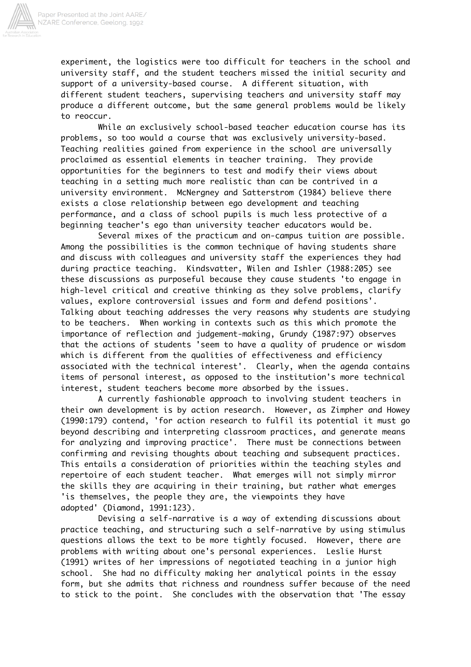

experiment, the logistics were too difficult for teachers in the school and university staff, and the student teachers missed the initial security and support of a university-based course. A different situation, with different student teachers, supervising teachers and university staff may produce a different outcome, but the same general problems would be likely to reoccur.

While an exclusively school-based teacher education course has its problems, so too would a course that was exclusively university-based. Teaching realities gained from experience in the school are universally proclaimed as essential elements in teacher training. They provide opportunities for the beginners to test and modify their views about teaching in a setting much more realistic than can be contrived in a university environment. McNergney and Satterstrom (1984) believe there exists a close relationship between ego development and teaching performance, and a class of school pupils is much less protective of a beginning teacher's ego than university teacher educators would be.

Several mixes of the practicum and on-campus tuition are possible. Among the possibilities is the common technique of having students share and discuss with colleagues and university staff the experiences they had during practice teaching. Kindsvatter, Wilen and Ishler (1988:205) see these discussions as purposeful because they cause students 'to engage in high-level critical and creative thinking as they solve problems, clarify values, explore controversial issues and form and defend positions'. Talking about teaching addresses the very reasons why students are studying to be teachers. When working in contexts such as this which promote the importance of reflection and judgement-making, Grundy (1987:97) observes that the actions of students 'seem to have a quality of prudence or wisdom which is different from the qualities of effectiveness and efficiency associated with the technical interest'. Clearly, when the agenda contains items of personal interest, as opposed to the institution's more technical interest, student teachers become more absorbed by the issues.

A currently fashionable approach to involving student teachers in their own development is by action research. However, as Zimpher and Howey (1990:179) contend, 'for action research to fulfil its potential it must go beyond describing and interpreting classroom practices, and generate means for analyzing and improving practice'. There must be connections between confirming and revising thoughts about teaching and subsequent practices. This entails a consideration of priorities within the teaching styles and repertoire of each student teacher. What emerges will not simply mirror the skills they are acquiring in their training, but rather what emerges 'is themselves, the people they are, the viewpoints they have adopted' (Diamond, 1991:123).

Devising a self-narrative is a way of extending discussions about practice teaching, and structuring such a self-narrative by using stimulus questions allows the text to be more tightly focused. However, there are problems with writing about one's personal experiences. Leslie Hurst (1991) writes of her impressions of negotiated teaching in a junior high school. She had no difficulty making her analytical points in the essay form, but she admits that richness and roundness suffer because of the need to stick to the point. She concludes with the observation that 'The essay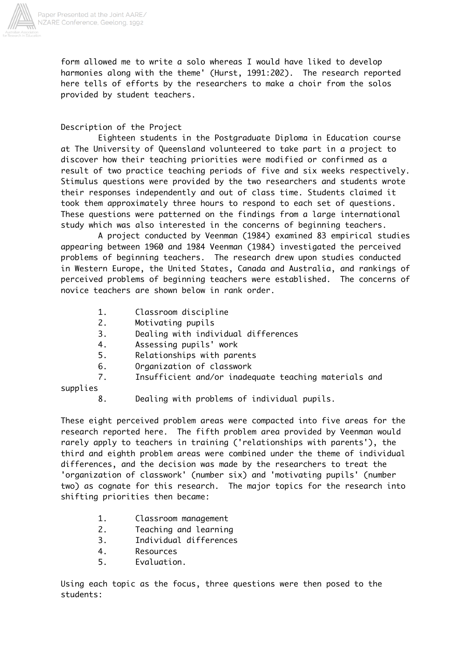

form allowed me to write a solo whereas I would have liked to develop harmonies along with the theme' (Hurst, 1991:202). The research reported here tells of efforts by the researchers to make a choir from the solos provided by student teachers.

Description of the Project

Eighteen students in the Postgraduate Diploma in Education course at The University of Queensland volunteered to take part in a project to discover how their teaching priorities were modified or confirmed as a result of two practice teaching periods of five and six weeks respectively. Stimulus questions were provided by the two researchers and students wrote their responses independently and out of class time. Students claimed it took them approximately three hours to respond to each set of questions. These questions were patterned on the findings from a large international study which was also interested in the concerns of beginning teachers.

A project conducted by Veenman (1984) examined 83 empirical studies appearing between 1960 and 1984 Veenman (1984) investigated the perceived problems of beginning teachers. The research drew upon studies conducted in Western Europe, the United States, Canada and Australia, and rankings of perceived problems of beginning teachers were established. The concerns of novice teachers are shown below in rank order.

- 1. Classroom discipline
- 2. Motivating pupils
- 3. Dealing with individual differences
- 4. Assessing pupils' work
- 5. Relationships with parents
- 6. Organization of classwork
- 7. Insufficient and/or inadequate teaching materials and

supplies

8. Dealing with problems of individual pupils.

These eight perceived problem areas were compacted into five areas for the research reported here. The fifth problem area provided by Veenman would rarely apply to teachers in training ('relationships with parents'), the third and eighth problem areas were combined under the theme of individual differences, and the decision was made by the researchers to treat the 'organization of classwork' (number six) and 'motivating pupils' (number two) as cognate for this research. The major topics for the research into shifting priorities then became:

- 1. Classroom management
- 2. Teaching and learning
- 3. Individual differences
- 4. Resources
- 5. Evaluation.

Using each topic as the focus, three questions were then posed to the students: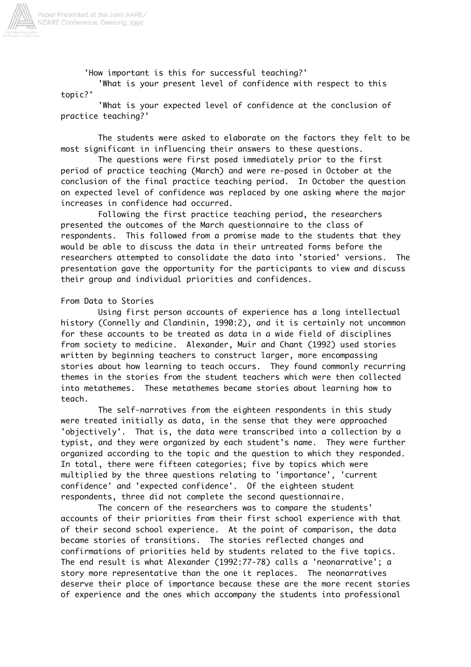

Paper Presented at the Joint AARE/<br>NZARE Conference, Geelong, 1992

'How important is this for successful teaching?'

'What is your present level of confidence with respect to this topic?'

'What is your expected level of confidence at the conclusion of practice teaching?'

The students were asked to elaborate on the factors they felt to be most significant in influencing their answers to these questions.

The questions were first posed immediately prior to the first period of practice teaching (March) and were re-posed in October at the conclusion of the final practice teaching period. In October the question on expected level of confidence was replaced by one asking where the major increases in confidence had occurred.

Following the first practice teaching period, the researchers presented the outcomes of the March questionnaire to the class of respondents. This followed from a promise made to the students that they would be able to discuss the data in their untreated forms before the researchers attempted to consolidate the data into 'storied' versions. The presentation gave the opportunity for the participants to view and discuss their group and individual priorities and confidences.

# From Data to Stories

Using first person accounts of experience has a long intellectual history (Connelly and Clandinin, 1990:2), and it is certainly not uncommon for these accounts to be treated as data in a wide field of disciplines from society to medicine. Alexander, Muir and Chant (1992) used stories written by beginning teachers to construct larger, more encompassing stories about how learning to teach occurs. They found commonly recurring themes in the stories from the student teachers which were then collected into metathemes. These metathemes became stories about learning how to teach.

The self-narratives from the eighteen respondents in this study were treated initially as data, in the sense that they were approached 'objectively'. That is, the data were transcribed into a collection by a typist, and they were organized by each student's name. They were further organized according to the topic and the question to which they responded. In total, there were fifteen categories; five by topics which were multiplied by the three questions relating to 'importance', 'current confidence' and 'expected confidence'. Of the eighteen student respondents, three did not complete the second questionnaire.

The concern of the researchers was to compare the students' accounts of their priorities from their first school experience with that of their second school experience. At the point of comparison, the data became stories of transitions. The stories reflected changes and confirmations of priorities held by students related to the five topics. The end result is what Alexander (1992:77-78) calls a 'neonarrative'; a story more representative than the one it replaces. The neonarratives deserve their place of importance because these are the more recent stories of experience and the ones which accompany the students into professional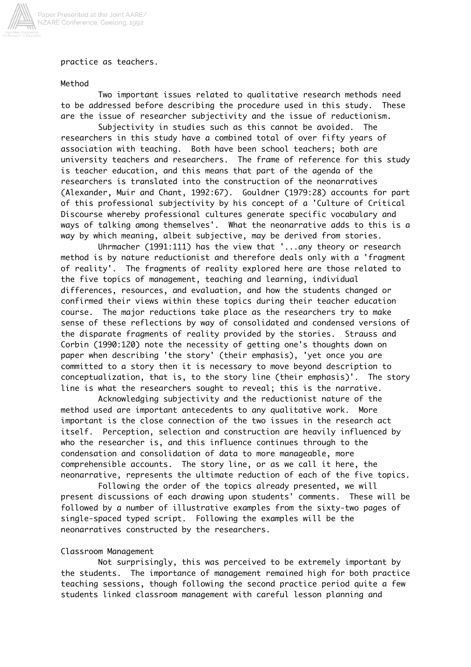

practice as teachers.

## Method

Two important issues related to qualitative research methods need to be addressed before describing the procedure used in this study. These are the issue of researcher subjectivity and the issue of reductionism.

Subjectivity in studies such as this cannot be avoided. The researchers in this study have a combined total of over fifty years of association with teaching. Both have been school teachers; both are university teachers and researchers. The frame of reference for this study is teacher education, and this means that part of the agenda of the researchers is translated into the construction of the neonarratives (Alexander, Muir and Chant, 1992:67). Gouldner (1979:28) accounts for part of this professional subjectivity by his concept of a 'Culture of Critical Discourse whereby professional cultures generate specific vocabulary and ways of talking among themselves'. What the neonarrative adds to this is a way by which meaning, albeit subjective, may be derived from stories.

Uhrmacher (1991:111) has the view that '...any theory or research method is by nature reductionist and therefore deals only with a 'fragment of reality'. The fragments of reality explored here are those related to the five topics of management, teaching and learning, individual differences, resources, and evaluation, and how the students changed or confirmed their views within these topics during their teacher education course. The major reductions take place as the researchers try to make sense of these reflections by way of consolidated and condensed versions of the disparate fragments of reality provided by the stories. Strauss and Corbin (1990:120) note the necessity of getting one's thoughts down on paper when describing 'the story' (their emphasis), 'yet once you are committed to a story then it is necessary to move beyond description to conceptualization, that is, to the story line (their emphasis)'. The story line is what the researchers sought to reveal; this is the narrative.

Acknowledging subjectivity and the reductionist nature of the method used are important antecedents to any qualitative work. More important is the close connection of the two issues in the research act itself. Perception, selection and construction are heavily influenced by who the researcher is, and this influence continues through to the condensation and consolidation of data to more manageable, more comprehensible accounts. The story line, or as we call it here, the neonarrative, represents the ultimate reduction of each of the five topics.

Following the order of the topics already presented, we will present discussions of each drawing upon students' comments. These will be followed by a number of illustrative examples from the sixty-two pages of single-spaced typed script. Following the examples will be the neonarratives constructed by the researchers.

# Classroom Management

Not surprisingly, this was perceived to be extremely important by the students. The importance of management remained high for both practice teaching sessions, though following the second practice period quite a few students linked classroom management with careful lesson planning and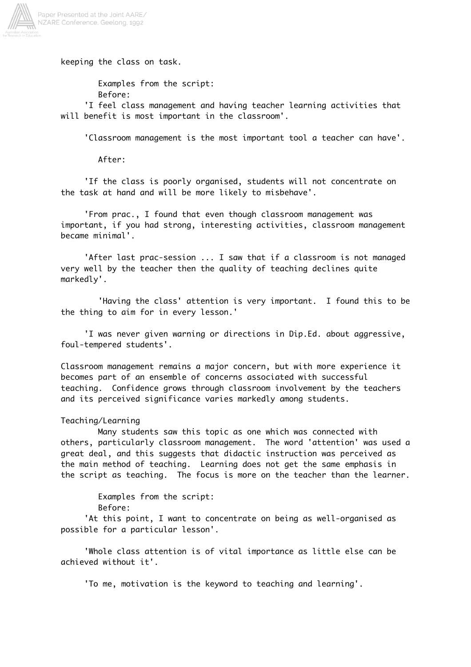

keeping the class on task.

Examples from the script: Before:

 'I feel class management and having teacher learning activities that will benefit is most important in the classroom'.

'Classroom management is the most important tool a teacher can have'.

After:

 'If the class is poorly organised, students will not concentrate on the task at hand and will be more likely to misbehave'.

 'From prac., I found that even though classroom management was important, if you had strong, interesting activities, classroom management became minimal'.

 'After last prac-session ... I saw that if a classroom is not managed very well by the teacher then the quality of teaching declines quite markedly'.

'Having the class' attention is very important. I found this to be the thing to aim for in every lesson.'

 'I was never given warning or directions in Dip.Ed. about aggressive, foul-tempered students'.

Classroom management remains a major concern, but with more experience it becomes part of an ensemble of concerns associated with successful teaching. Confidence grows through classroom involvement by the teachers and its perceived significance varies markedly among students.

# Teaching/Learning

Many students saw this topic as one which was connected with others, particularly classroom management. The word 'attention' was used a great deal, and this suggests that didactic instruction was perceived as the main method of teaching. Learning does not get the same emphasis in the script as teaching. The focus is more on the teacher than the learner.

> Examples from the script: Before:

'At this point, I want to concentrate on being as well-organised as possible for a particular lesson'.

 'Whole class attention is of vital importance as little else can be achieved without it'.

'To me, motivation is the keyword to teaching and learning'.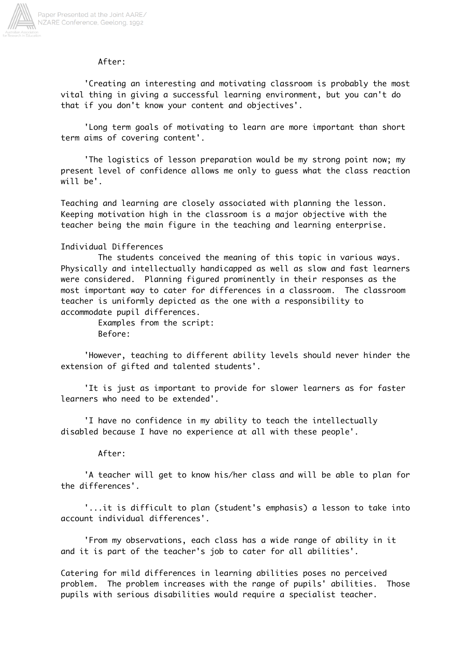

### After:

 'Creating an interesting and motivating classroom is probably the most vital thing in giving a successful learning environment, but you can't do that if you don't know your content and objectives'.

 'Long term goals of motivating to learn are more important than short term aims of covering content'.

 'The logistics of lesson preparation would be my strong point now; my present level of confidence allows me only to guess what the class reaction will be'.

Teaching and learning are closely associated with planning the lesson. Keeping motivation high in the classroom is a major objective with the teacher being the main figure in the teaching and learning enterprise.

## Individual Differences

The students conceived the meaning of this topic in various ways. Physically and intellectually handicapped as well as slow and fast learners were considered. Planning figured prominently in their responses as the most important way to cater for differences in a classroom. The classroom teacher is uniformly depicted as the one with a responsibility to accommodate pupil differences.

> Examples from the script: Before:

 'However, teaching to different ability levels should never hinder the extension of gifted and talented students'.

 'It is just as important to provide for slower learners as for faster learners who need to be extended'.

 'I have no confidence in my ability to teach the intellectually disabled because I have no experience at all with these people'.

#### After:

 'A teacher will get to know his/her class and will be able to plan for the differences'.

 '...it is difficult to plan (student's emphasis) a lesson to take into account individual differences'.

 'From my observations, each class has a wide range of ability in it and it is part of the teacher's job to cater for all abilities'.

Catering for mild differences in learning abilities poses no perceived problem. The problem increases with the range of pupils' abilities. Those pupils with serious disabilities would require a specialist teacher.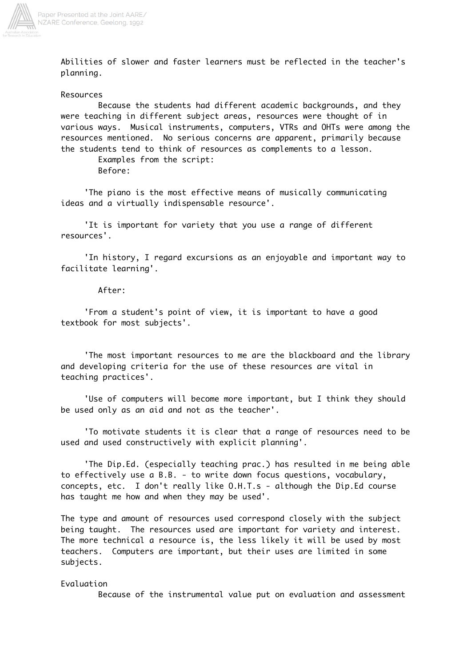

Abilities of slower and faster learners must be reflected in the teacher's planning.

#### Resources

Because the students had different academic backgrounds, and they were teaching in different subject areas, resources were thought of in various ways. Musical instruments, computers, VTRs and OHTs were among the resources mentioned. No serious concerns are apparent, primarily because the students tend to think of resources as complements to a lesson.

Examples from the script:

Before:

 'The piano is the most effective means of musically communicating ideas and a virtually indispensable resource'.

 'It is important for variety that you use a range of different resources'.

 'In history, I regard excursions as an enjoyable and important way to facilitate learning'.

### After:

 'From a student's point of view, it is important to have a good textbook for most subjects'.

 'The most important resources to me are the blackboard and the library and developing criteria for the use of these resources are vital in teaching practices'.

 'Use of computers will become more important, but I think they should be used only as an aid and not as the teacher'.

 'To motivate students it is clear that a range of resources need to be used and used constructively with explicit planning'.

 'The Dip.Ed. (especially teaching prac.) has resulted in me being able to effectively use a B.B. - to write down focus questions, vocabulary, concepts, etc. I don't really like O.H.T.s - although the Dip.Ed course has taught me how and when they may be used'.

The type and amount of resources used correspond closely with the subject being taught. The resources used are important for variety and interest. The more technical a resource is, the less likely it will be used by most teachers. Computers are important, but their uses are limited in some subjects.

### Evaluation

Because of the instrumental value put on evaluation and assessment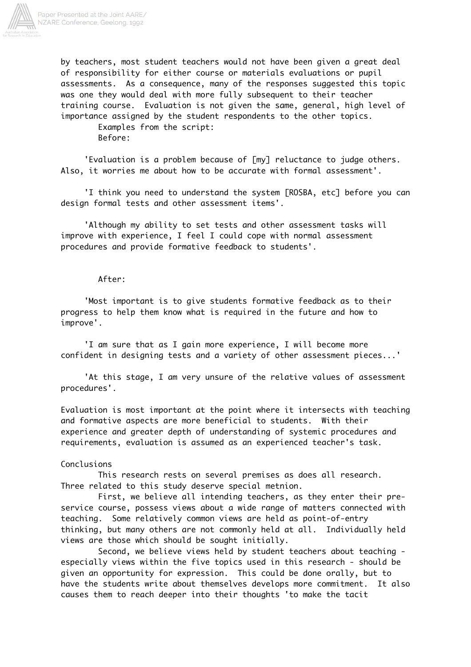

by teachers, most student teachers would not have been given a great deal of responsibility for either course or materials evaluations or pupil assessments. As a consequence, many of the responses suggested this topic was one they would deal with more fully subsequent to their teacher training course. Evaluation is not given the same, general, high level of importance assigned by the student respondents to the other topics.

Examples from the script: Before:

 'Evaluation is a problem because of [my] reluctance to judge others. Also, it worries me about how to be accurate with formal assessment'.

 'I think you need to understand the system [ROSBA, etc] before you can design formal tests and other assessment items'.

 'Although my ability to set tests and other assessment tasks will improve with experience, I feel I could cope with normal assessment procedures and provide formative feedback to students'.

### After:

 'Most important is to give students formative feedback as to their progress to help them know what is required in the future and how to improve'.

 'I am sure that as I gain more experience, I will become more confident in designing tests and a variety of other assessment pieces...'

 'At this stage, I am very unsure of the relative values of assessment procedures'.

Evaluation is most important at the point where it intersects with teaching and formative aspects are more beneficial to students. With their experience and greater depth of understanding of systemic procedures and requirements, evaluation is assumed as an experienced teacher's task.

### Conclusions

This research rests on several premises as does all research. Three related to this study deserve special metnion.

First, we believe all intending teachers, as they enter their preservice course, possess views about a wide range of matters connected with teaching. Some relatively common views are held as point-of-entry thinking, but many others are not commonly held at all. Individually held views are those which should be sought initially.

Second, we believe views held by student teachers about teaching especially views within the five topics used in this research - should be given an opportunity for expression. This could be done orally, but to have the students write about themselves develops more commitment. It also causes them to reach deeper into their thoughts 'to make the tacit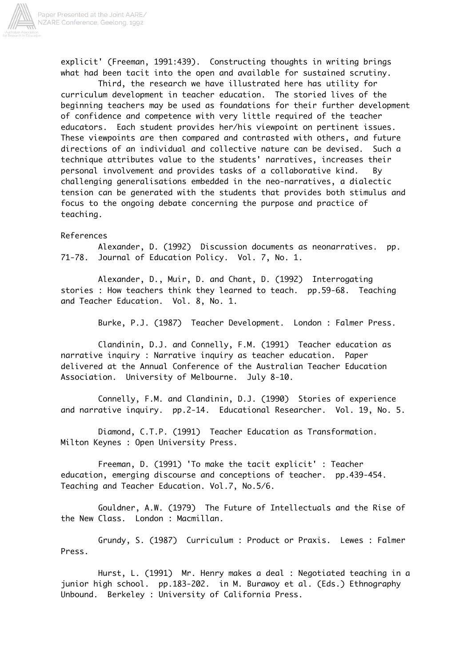

explicit' (Freeman, 1991:439). Constructing thoughts in writing brings what had been tacit into the open and available for sustained scrutiny.

Third, the research we have illustrated here has utility for curriculum development in teacher education. The storied lives of the beginning teachers may be used as foundations for their further development of confidence and competence with very little required of the teacher educators. Each student provides her/his viewpoint on pertinent issues. These viewpoints are then compared and contrasted with others, and future directions of an individual and collective nature can be devised. Such a technique attributes value to the students' narratives, increases their personal involvement and provides tasks of a collaborative kind. By challenging generalisations embedded in the neo-narratives, a dialectic tension can be generated with the students that provides both stimulus and focus to the ongoing debate concerning the purpose and practice of teaching.

### References

Alexander, D. (1992) Discussion documents as neonarratives. pp. 71-78. Journal of Education Policy. Vol. 7, No. 1.

Alexander, D., Muir, D. and Chant, D. (1992) Interrogating stories : How teachers think they learned to teach. pp.59-68. Teaching and Teacher Education. Vol. 8, No. 1.

Burke, P.J. (1987) Teacher Development. London : Falmer Press.

Clandinin, D.J. and Connelly, F.M. (1991) Teacher education as narrative inquiry : Narrative inquiry as teacher education. Paper delivered at the Annual Conference of the Australian Teacher Education Association. University of Melbourne. July 8-10.

Connelly, F.M. and Clandinin, D.J. (1990) Stories of experience and narrative inquiry. pp.2-14. Educational Researcher. Vol. 19, No. 5.

Diamond, C.T.P. (1991) Teacher Education as Transformation. Milton Keynes : Open University Press.

Freeman, D. (1991) 'To make the tacit explicit' : Teacher education, emerging discourse and conceptions of teacher. pp.439-454. Teaching and Teacher Education. Vol.7, No.5/6.

Gouldner, A.W. (1979) The Future of Intellectuals and the Rise of the New Class. London : Macmillan.

Grundy, S. (1987) Curriculum : Product or Praxis. Lewes : Falmer Press.

Hurst, L. (1991) Mr. Henry makes a deal : Negotiated teaching in a junior high school. pp.183-202. in M. Burawoy et al. (Eds.) Ethnography Unbound. Berkeley : University of California Press.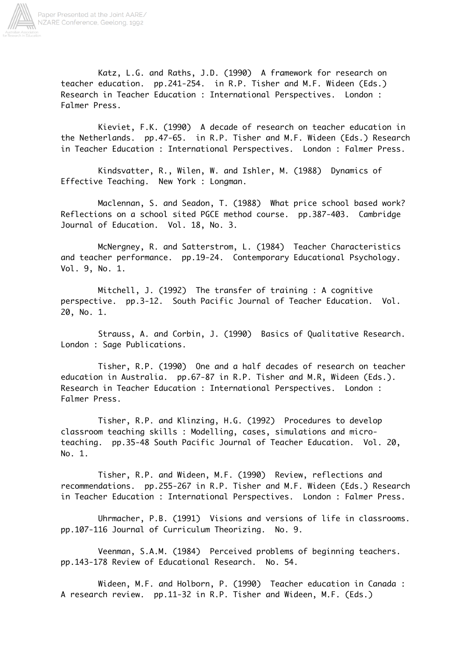

Katz, L.G. and Raths, J.D. (1990) A framework for research on teacher education. pp.241-254. in R.P. Tisher and M.F. Wideen (Eds.) Research in Teacher Education : International Perspectives. London : Falmer Press.

Kieviet, F.K. (1990) A decade of research on teacher education in the Netherlands. pp.47-65. in R.P. Tisher and M.F. Wideen (Eds.) Research in Teacher Education : International Perspectives. London : Falmer Press.

Kindsvatter, R., Wilen, W. and Ishler, M. (1988) Dynamics of Effective Teaching. New York : Longman.

Maclennan, S. and Seadon, T. (1988) What price school based work? Reflections on a school sited PGCE method course. pp.387-403. Cambridge Journal of Education. Vol. 18, No. 3.

McNergney, R. and Satterstrom, L. (1984) Teacher Characteristics and teacher performance. pp.19-24. Contemporary Educational Psychology. Vol. 9, No. 1.

Mitchell, J. (1992) The transfer of training : A cognitive perspective. pp.3-12. South Pacific Journal of Teacher Education. Vol. 20, No. 1.

Strauss, A. and Corbin, J. (1990) Basics of Qualitative Research. London : Sage Publications.

Tisher, R.P. (1990) One and a half decades of research on teacher education in Australia. pp.67-87 in R.P. Tisher and M.R, Wideen (Eds.). Research in Teacher Education : International Perspectives. London : Falmer Press.

Tisher, R.P. and Klinzing, H.G. (1992) Procedures to develop classroom teaching skills : Modelling, cases, simulations and microteaching. pp.35-48 South Pacific Journal of Teacher Education. Vol. 20, No. 1.

Tisher, R.P. and Wideen, M.F. (1990) Review, reflections and recommendations. pp.255-267 in R.P. Tisher and M.F. Wideen (Eds.) Research in Teacher Education : International Perspectives. London : Falmer Press.

Uhrmacher, P.B. (1991) Visions and versions of life in classrooms. pp.107-116 Journal of Curriculum Theorizing. No. 9.

Veenman, S.A.M. (1984) Perceived problems of beginning teachers. pp.143-178 Review of Educational Research. No. 54.

Wideen, M.F. and Holborn, P. (1990) Teacher education in Canada : A research review. pp.11-32 in R.P. Tisher and Wideen, M.F. (Eds.)